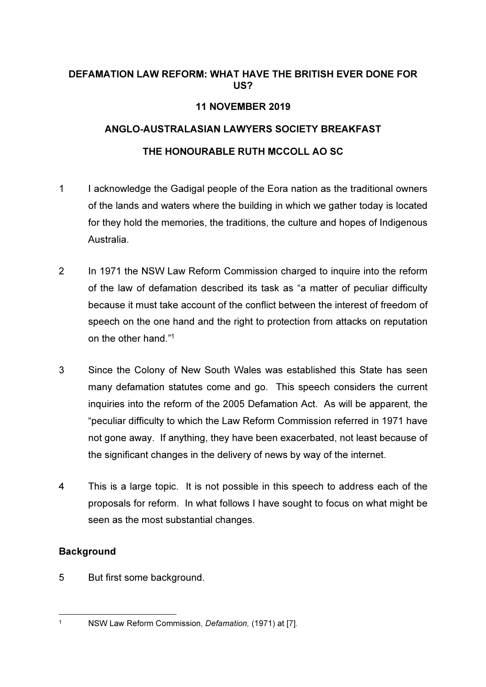#### DEFAMATION LAW REFORM: WHAT HAVE THE BRITISH EVER DONE FOR US?

# 11 NOVEMBER 2019

# ANGLO-AUSTRALASIAN LAWYERS SOCIETY BREAKFAST

# THE HONOURABLE RUTH MCCOLL AO SC

- 1 I acknowledge the Gadigal people of the Eora nation as the traditional owners of the lands and waters where the building in which we gather today is located for they hold the memories, the traditions, the culture and hopes of Indigenous Australia.
- 2 In 1971 the NSW Law Reform Commission charged to inquire into the reform of the law of defamation described its task as "a matter of peculiar difficulty because it must take account of the conflict between the interest of freedom of speech on the one hand and the right to protection from attacks on reputation on the other hand."<sup>1</sup>
- 3 Since the Colony of New South Wales was established this State has seen many defamation statutes come and go. This speech considers the current inquiries into the reform of the 2005 Defamation Act. As will be apparent, the "peculiar difficulty to which the Law Reform Commission referred in 1971 have not gone away. If anything, they have been exacerbated, not least because of the significant changes in the delivery of news by way of the internet.
- 4 This is a large topic. It is not possible in this speech to address each of the proposals for reform. In what follows I have sought to focus on what might be seen as the most substantial changes.

# **Background**

5 But first some background.

<sup>1</sup> NSW Law Reform Commission, Defamation, (1971) at [7].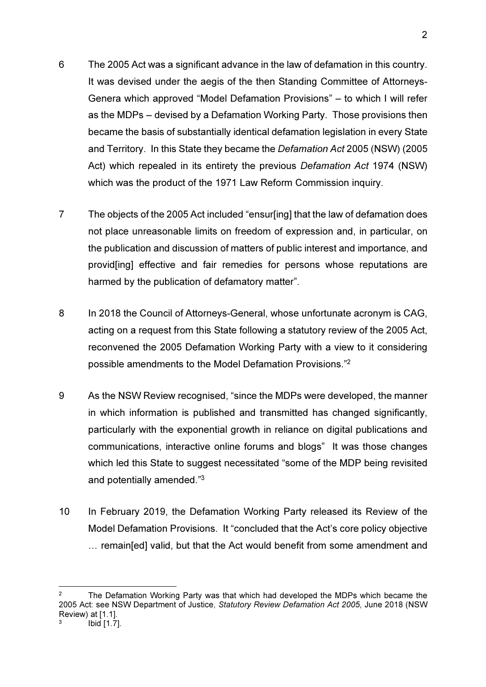- 6 The 2005 Act was a significant advance in the law of defamation in this country. It was devised under the aegis of the then Standing Committee of Attorneys-Genera which approved "Model Defamation Provisions" – to which I will refer as the MDPs – devised by a Defamation Working Party. Those provisions then became the basis of substantially identical defamation legislation in every State and Territory. In this State they became the Defamation Act 2005 (NSW) (2005 Act) which repealed in its entirety the previous Defamation Act 1974 (NSW) which was the product of the 1971 Law Reform Commission inquiry.
- 7 The objects of the 2005 Act included "ensur[ing] that the law of defamation does not place unreasonable limits on freedom of expression and, in particular, on the publication and discussion of matters of public interest and importance, and provid[ing] effective and fair remedies for persons whose reputations are harmed by the publication of defamatory matter".
- 8 In 2018 the Council of Attorneys-General, whose unfortunate acronym is CAG, acting on a request from this State following a statutory review of the 2005 Act, reconvened the 2005 Defamation Working Party with a view to it considering possible amendments to the Model Defamation Provisions."<sup>2</sup>
- 9 As the NSW Review recognised, "since the MDPs were developed, the manner in which information is published and transmitted has changed significantly, particularly with the exponential growth in reliance on digital publications and communications, interactive online forums and blogs" It was those changes which led this State to suggest necessitated "some of the MDP being revisited and potentially amended."<sup>3</sup>
- 10 In February 2019, the Defamation Working Party released its Review of the Model Defamation Provisions. It "concluded that the Act's core policy objective … remain[ed] valid, but that the Act would benefit from some amendment and

<sup>2</sup> The Defamation Working Party was that which had developed the MDPs which became the 2005 Act: see NSW Department of Justice, Statutory Review Defamation Act 2005, June 2018 (NSW Review) at [1.1]. 3 Ibid [1.7].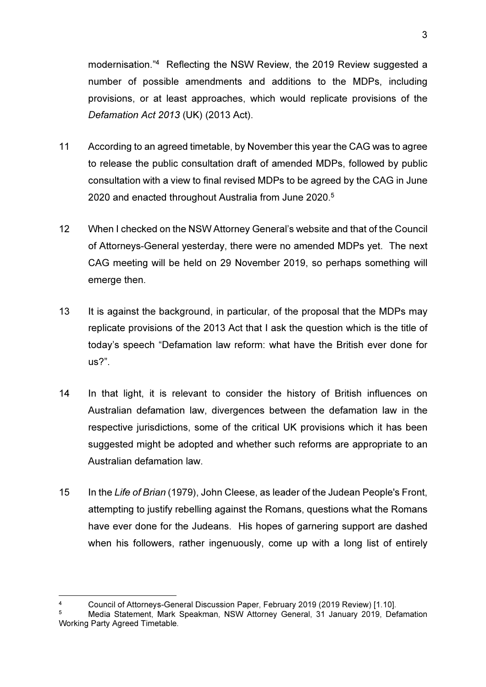modernisation."<sup>4</sup> Reflecting the NSW Review, the 2019 Review suggested a number of possible amendments and additions to the MDPs, including provisions, or at least approaches, which would replicate provisions of the Defamation Act 2013 (UK) (2013 Act).

- 11 According to an agreed timetable, by November this year the CAG was to agree to release the public consultation draft of amended MDPs, followed by public consultation with a view to final revised MDPs to be agreed by the CAG in June 2020 and enacted throughout Australia from June 2020. 5
- 12 When I checked on the NSW Attorney General's website and that of the Council of Attorneys-General yesterday, there were no amended MDPs yet. The next CAG meeting will be held on 29 November 2019, so perhaps something will emerge then.
- 13 It is against the background, in particular, of the proposal that the MDPs may replicate provisions of the 2013 Act that I ask the question which is the title of today's speech "Defamation law reform: what have the British ever done for us?".
- 14 In that light, it is relevant to consider the history of British influences on Australian defamation law, divergences between the defamation law in the respective jurisdictions, some of the critical UK provisions which it has been suggested might be adopted and whether such reforms are appropriate to an Australian defamation law.
- 15 In the Life of Brian (1979), John Cleese, as leader of the Judean People's Front, attempting to justify rebelling against the Romans, questions what the Romans have ever done for the Judeans. His hopes of garnering support are dashed when his followers, rather ingenuously, come up with a long list of entirely

<sup>4</sup> Council of Attorneys-General Discussion Paper, February 2019 (2019 Review) [1.10].

<sup>5</sup> Media Statement, Mark Speakman, NSW Attorney General, 31 January 2019, Defamation Working Party Agreed Timetable.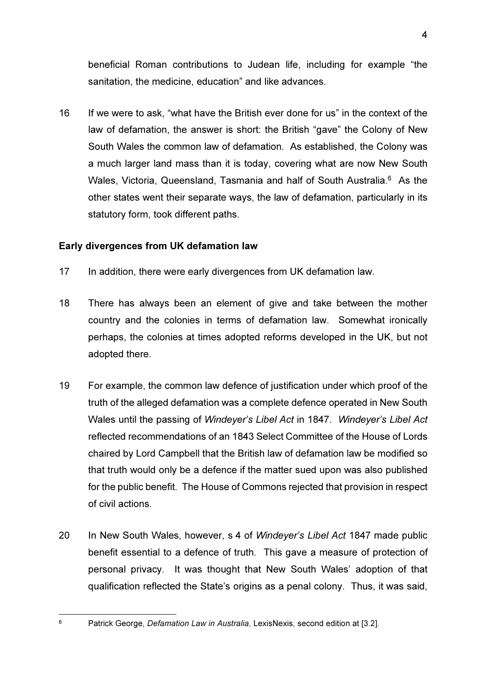beneficial Roman contributions to Judean life, including for example "the sanitation, the medicine, education" and like advances.

16 If we were to ask, "what have the British ever done for us" in the context of the law of defamation, the answer is short: the British "gave" the Colony of New South Wales the common law of defamation. As established, the Colony was a much larger land mass than it is today, covering what are now New South Wales, Victoria, Queensland, Tasmania and half of South Australia.<sup>6</sup> As the other states went their separate ways, the law of defamation, particularly in its statutory form, took different paths.

#### Early divergences from UK defamation law

- 17 In addition, there were early divergences from UK defamation law.
- 18 There has always been an element of give and take between the mother country and the colonies in terms of defamation law. Somewhat ironically perhaps, the colonies at times adopted reforms developed in the UK, but not adopted there.
- 19 For example, the common law defence of justification under which proof of the truth of the alleged defamation was a complete defence operated in New South Wales until the passing of Windeyer's Libel Act in 1847. Windeyer's Libel Act reflected recommendations of an 1843 Select Committee of the House of Lords chaired by Lord Campbell that the British law of defamation law be modified so that truth would only be a defence if the matter sued upon was also published for the public benefit. The House of Commons rejected that provision in respect of civil actions.
- 20 In New South Wales, however, s 4 of Windever's Libel Act 1847 made public benefit essential to a defence of truth. This gave a measure of protection of personal privacy. It was thought that New South Wales' adoption of that qualification reflected the State's origins as a penal colony. Thus, it was said,

6

Patrick George, Defamation Law in Australia, LexisNexis, second edition at [3.2].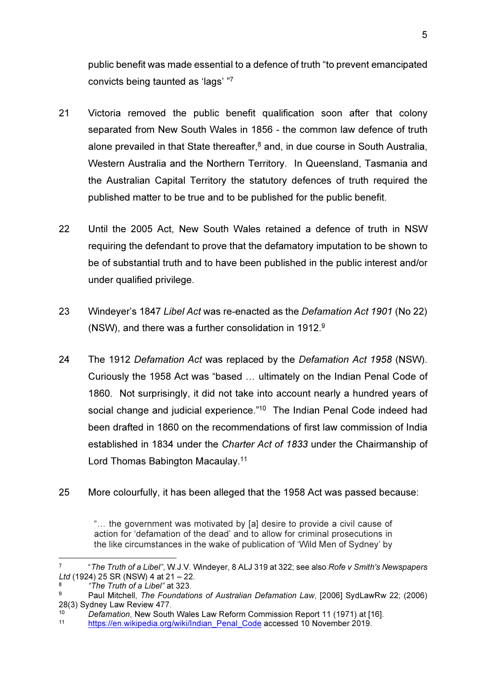public benefit was made essential to a defence of truth "to prevent emancipated convicts being taunted as 'lags' "7

- 21 Victoria removed the public benefit qualification soon after that colony separated from New South Wales in 1856 - the common law defence of truth alone prevailed in that State thereafter,<sup>8</sup> and, in due course in South Australia, Western Australia and the Northern Territory. In Queensland, Tasmania and the Australian Capital Territory the statutory defences of truth required the published matter to be true and to be published for the public benefit.
- 22 Until the 2005 Act, New South Wales retained a defence of truth in NSW requiring the defendant to prove that the defamatory imputation to be shown to be of substantial truth and to have been published in the public interest and/or under qualified privilege.
- 23 Windeyer's 1847 Libel Act was re-enacted as the Defamation Act 1901 (No 22) (NSW), and there was a further consolidation in 1912.<sup>9</sup>
- 24 The 1912 Defamation Act was replaced by the Defamation Act 1958 (NSW). Curiously the 1958 Act was "based … ultimately on the Indian Penal Code of 1860. Not surprisingly, it did not take into account nearly a hundred years of social change and judicial experience."<sup>10</sup> The Indian Penal Code indeed had been drafted in 1860 on the recommendations of first law commission of India established in 1834 under the Charter Act of 1833 under the Chairmanship of Lord Thomas Babington Macaulay.<sup>11</sup>

# 25 More colourfully, it has been alleged that the 1958 Act was passed because:

"… the government was motivated by [a] desire to provide a civil cause of action for 'defamation of the dead' and to allow for criminal prosecutions in the like circumstances in the wake of publication of 'Wild Men of Sydney' by

<sup>7</sup> "The Truth of a Libel", W.J.V. Windeyer, 8 ALJ 319 at 322; see also Rofe v Smith's Newspapers Ltd (1924) 25 SR (NSW) 4 at 21 – 22.

<sup>8</sup> "The Truth of a Libel" at 323.

<sup>9</sup> Paul Mitchell, The Foundations of Australian Defamation Law, [2006] SydLawRw 22; (2006) 28(3) Sydney Law Review 477.

<sup>10</sup> Defamation, New South Wales Law Reform Commission Report 11 (1971) at [16].

<sup>11</sup> https://en.wikipedia.org/wiki/Indian\_Penal\_Code accessed 10 November 2019.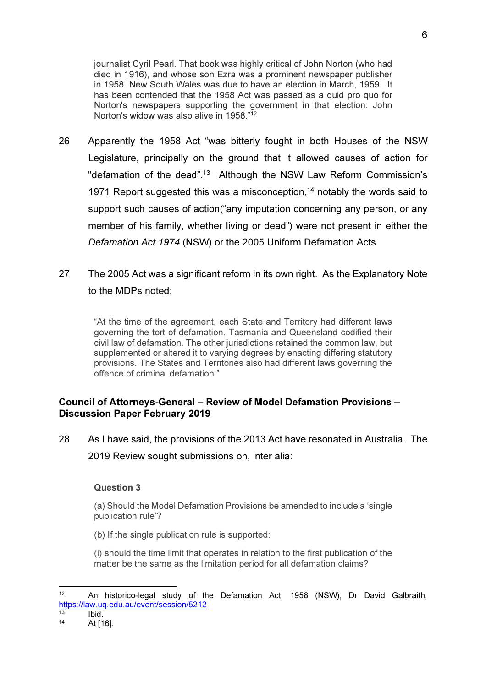journalist Cyril Pearl. That book was highly critical of John Norton (who had died in 1916), and whose son Ezra was a prominent newspaper publisher in 1958. New South Wales was due to have an election in March, 1959. It has been contended that the 1958 Act was passed as a quid pro quo for Norton's newspapers supporting the government in that election. John Norton's widow was also alive in 1958."<sup>12</sup>

- 26 Apparently the 1958 Act "was bitterly fought in both Houses of the NSW Legislature, principally on the ground that it allowed causes of action for "defamation of the dead".<sup>13</sup> Although the NSW Law Reform Commission's 1971 Report suggested this was a misconception,<sup>14</sup> notably the words said to support such causes of action("any imputation concerning any person, or any member of his family, whether living or dead") were not present in either the Defamation Act 1974 (NSW) or the 2005 Uniform Defamation Acts.
- 27 The 2005 Act was a significant reform in its own right. As the Explanatory Note to the MDPs noted:

"At the time of the agreement, each State and Territory had different laws governing the tort of defamation. Tasmania and Queensland codified their civil law of defamation. The other jurisdictions retained the common law, but supplemented or altered it to varying degrees by enacting differing statutory provisions. The States and Territories also had different laws governing the offence of criminal defamation."

#### Council of Attorneys-General – Review of Model Defamation Provisions – Discussion Paper February 2019

28 As I have said, the provisions of the 2013 Act have resonated in Australia. The 2019 Review sought submissions on, inter alia:

#### Question 3

(a) Should the Model Defamation Provisions be amended to include a 'single publication rule'?

(b) If the single publication rule is supported:

(i) should the time limit that operates in relation to the first publication of the matter be the same as the limitation period for all defamation claims?

<sup>12</sup> An historico-legal study of the Defamation Act, 1958 (NSW), Dr David Galbraith, https://law.uq.edu.au/event/session/5212

 $13$  Ibid.<br> $14$   $14$ 

At [16].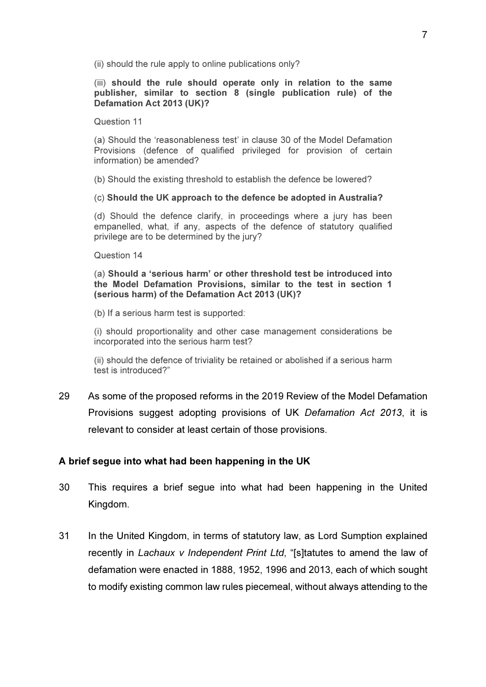(ii) should the rule apply to online publications only?

#### (iii) should the rule should operate only in relation to the same publisher, similar to section 8 (single publication rule) of the Defamation Act 2013 (UK)?

Question 11

(a) Should the 'reasonableness test' in clause 30 of the Model Defamation Provisions (defence of qualified privileged for provision of certain information) be amended?

(b) Should the existing threshold to establish the defence be lowered?

(c) Should the UK approach to the defence be adopted in Australia?

(d) Should the defence clarify, in proceedings where a jury has been empanelled, what, if any, aspects of the defence of statutory qualified privilege are to be determined by the jury?

Question 14

(a) Should a 'serious harm' or other threshold test be introduced into the Model Defamation Provisions, similar to the test in section 1 (serious harm) of the Defamation Act 2013 (UK)?

(b) If a serious harm test is supported:

(i) should proportionality and other case management considerations be incorporated into the serious harm test?

(ii) should the defence of triviality be retained or abolished if a serious harm test is introduced?"

29 As some of the proposed reforms in the 2019 Review of the Model Defamation Provisions suggest adopting provisions of UK Defamation Act 2013, it is relevant to consider at least certain of those provisions.

# A brief segue into what had been happening in the UK

- 30 This requires a brief segue into what had been happening in the United Kingdom.
- 31 In the United Kingdom, in terms of statutory law, as Lord Sumption explained recently in Lachaux v Independent Print Ltd, "[s]tatutes to amend the law of defamation were enacted in 1888, 1952, 1996 and 2013, each of which sought to modify existing common law rules piecemeal, without always attending to the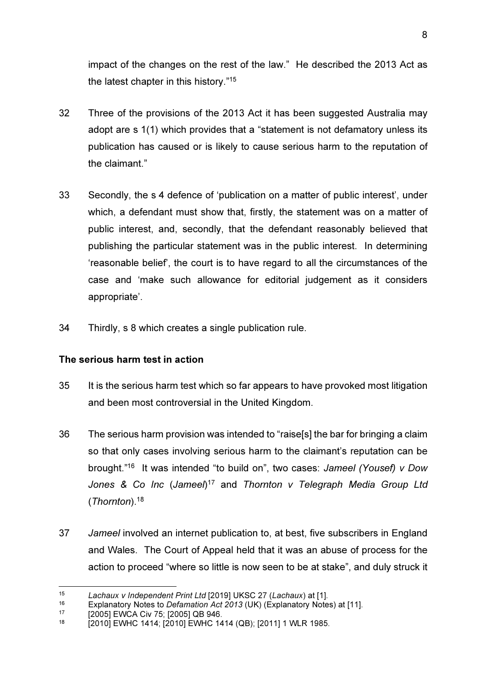impact of the changes on the rest of the law." He described the 2013 Act as the latest chapter in this history."<sup>15</sup>

- 32 Three of the provisions of the 2013 Act it has been suggested Australia may adopt are s 1(1) which provides that a "statement is not defamatory unless its publication has caused or is likely to cause serious harm to the reputation of the claimant."
- 33 Secondly, the s 4 defence of 'publication on a matter of public interest', under which, a defendant must show that, firstly, the statement was on a matter of public interest, and, secondly, that the defendant reasonably believed that publishing the particular statement was in the public interest. In determining 'reasonable belief', the court is to have regard to all the circumstances of the case and 'make such allowance for editorial judgement as it considers appropriate'.
- 34 Thirdly, s 8 which creates a single publication rule.

# The serious harm test in action

- 35 It is the serious harm test which so far appears to have provoked most litigation and been most controversial in the United Kingdom.
- 36 The serious harm provision was intended to "raise[s] the bar for bringing a claim so that only cases involving serious harm to the claimant's reputation can be brought."<sup>16</sup> It was intended "to build on", two cases: Jameel (Yousef) v Dow Jones & Co Inc (Jameel)<sup>17</sup> and Thornton v Telegraph Media Group Ltd (Thornton).<sup>18</sup>
- 37 Jameel involved an internet publication to, at best, five subscribers in England and Wales. The Court of Appeal held that it was an abuse of process for the action to proceed "where so little is now seen to be at stake", and duly struck it

<sup>15</sup> Lachaux v Independent Print Ltd [2019] UKSC 27 (Lachaux) at [1].

<sup>&</sup>lt;sup>16</sup> Explanatory Notes to *Defamation Act 2013* (UK) (Explanatory Notes) at [11].<br>17 [2005] EMCA Civ 75: [2005] OB 946

<sup>&</sup>lt;sup>17</sup> [2005] EWCA Civ 75; [2005] QB 946.

<sup>[2010]</sup> EWHC 1414; [2010] EWHC 1414 (QB); [2011] 1 WLR 1985.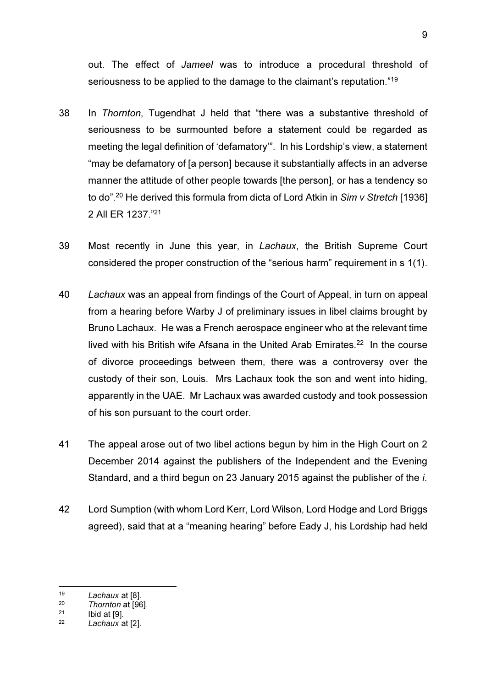out. The effect of Jameel was to introduce a procedural threshold of seriousness to be applied to the damage to the claimant's reputation."<sup>19</sup>

- 38 In Thornton, Tugendhat J held that "there was a substantive threshold of seriousness to be surmounted before a statement could be regarded as meeting the legal definition of 'defamatory'". In his Lordship's view, a statement "may be defamatory of [a person] because it substantially affects in an adverse manner the attitude of other people towards [the person], or has a tendency so to do".<sup>20</sup> He derived this formula from dicta of Lord Atkin in Sim v Stretch [1936] 2 All ER 1237."<sup>21</sup>
- 39 Most recently in June this year, in Lachaux, the British Supreme Court considered the proper construction of the "serious harm" requirement in s 1(1).
- 40 Lachaux was an appeal from findings of the Court of Appeal, in turn on appeal from a hearing before Warby J of preliminary issues in libel claims brought by Bruno Lachaux. He was a French aerospace engineer who at the relevant time lived with his British wife Afsana in the United Arab Emirates.<sup>22</sup> In the course of divorce proceedings between them, there was a controversy over the custody of their son, Louis. Mrs Lachaux took the son and went into hiding, apparently in the UAE. Mr Lachaux was awarded custody and took possession of his son pursuant to the court order.
- 41 The appeal arose out of two libel actions begun by him in the High Court on 2 December 2014 against the publishers of the Independent and the Evening Standard, and a third begun on 23 January 2015 against the publisher of the i.
- 42 Lord Sumption (with whom Lord Kerr, Lord Wilson, Lord Hodge and Lord Briggs agreed), said that at a "meaning hearing" before Eady J, his Lordship had held

<sup>19</sup> Lachaux at [8].

<sup>20</sup>  $\frac{20}{21}$  Thornton at [96].

Ibid at [9].

<sup>22</sup> Lachaux at [2].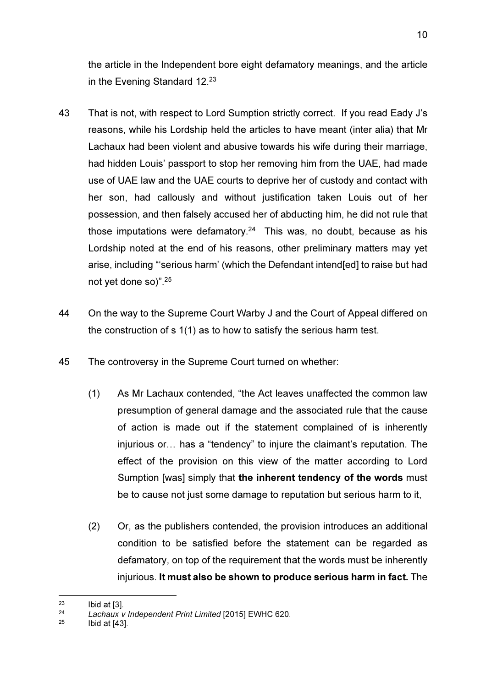the article in the Independent bore eight defamatory meanings, and the article in the Evening Standard 12.<sup>23</sup>

- 43 That is not, with respect to Lord Sumption strictly correct. If you read Eady J's reasons, while his Lordship held the articles to have meant (inter alia) that Mr Lachaux had been violent and abusive towards his wife during their marriage, had hidden Louis' passport to stop her removing him from the UAE, had made use of UAE law and the UAE courts to deprive her of custody and contact with her son, had callously and without justification taken Louis out of her possession, and then falsely accused her of abducting him, he did not rule that those imputations were defamatory.<sup>24</sup> This was, no doubt, because as his Lordship noted at the end of his reasons, other preliminary matters may yet arise, including "'serious harm' (which the Defendant intend[ed] to raise but had not yet done so)".<sup>25</sup>
- 44 On the way to the Supreme Court Warby J and the Court of Appeal differed on the construction of s 1(1) as to how to satisfy the serious harm test.
- 45 The controversy in the Supreme Court turned on whether:
	- (1) As Mr Lachaux contended, "the Act leaves unaffected the common law presumption of general damage and the associated rule that the cause of action is made out if the statement complained of is inherently injurious or… has a "tendency" to injure the claimant's reputation. The effect of the provision on this view of the matter according to Lord Sumption [was] simply that the inherent tendency of the words must be to cause not just some damage to reputation but serious harm to it,
	- (2) Or, as the publishers contended, the provision introduces an additional condition to be satisfied before the statement can be regarded as defamatory, on top of the requirement that the words must be inherently injurious. It must also be shown to produce serious harm in fact. The

<sup>23</sup> Ibid at [3].

<sup>24</sup>  $24$  Lachaux v Independent Print Limited [2015] EWHC 620.

Ibid at [43].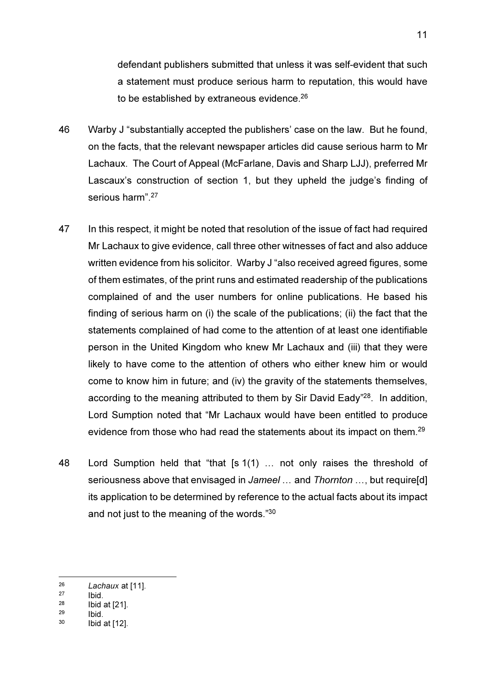defendant publishers submitted that unless it was self-evident that such a statement must produce serious harm to reputation, this would have to be established by extraneous evidence.<sup>26</sup>

- 46 Warby J "substantially accepted the publishers' case on the law. But he found, on the facts, that the relevant newspaper articles did cause serious harm to Mr Lachaux. The Court of Appeal (McFarlane, Davis and Sharp LJJ), preferred Mr Lascaux's construction of section 1, but they upheld the judge's finding of serious harm".<sup>27</sup>
- 47 In this respect, it might be noted that resolution of the issue of fact had required Mr Lachaux to give evidence, call three other witnesses of fact and also adduce written evidence from his solicitor. Warby J "also received agreed figures, some of them estimates, of the print runs and estimated readership of the publications complained of and the user numbers for online publications. He based his finding of serious harm on (i) the scale of the publications; (ii) the fact that the statements complained of had come to the attention of at least one identifiable person in the United Kingdom who knew Mr Lachaux and (iii) that they were likely to have come to the attention of others who either knew him or would come to know him in future; and (iv) the gravity of the statements themselves, according to the meaning attributed to them by Sir David Eady"<sup>28</sup>. In addition, Lord Sumption noted that "Mr Lachaux would have been entitled to produce evidence from those who had read the statements about its impact on them.<sup>29</sup>
- 48 Lord Sumption held that "that [s 1(1) … not only raises the threshold of seriousness above that envisaged in Jameel ... and Thornton ..., but require[d] its application to be determined by reference to the actual facts about its impact and not just to the meaning of the words."<sup>30</sup>

<sup>26</sup>  $26$  Lachaux at [11].

 $\frac{27}{28}$  Ibid.

 $28$  Ibid at [21].

 $29$  Ibid.<br> $30$  Ibid.

Ibid at [12].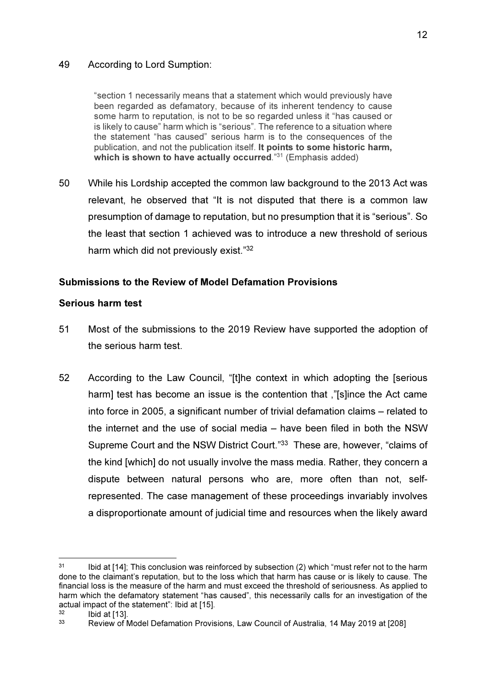#### 49 According to Lord Sumption:

"section 1 necessarily means that a statement which would previously have been regarded as defamatory, because of its inherent tendency to cause some harm to reputation, is not to be so regarded unless it "has caused or is likely to cause" harm which is "serious". The reference to a situation where the statement "has caused" serious harm is to the consequences of the publication, and not the publication itself. It points to some historic harm, which is shown to have actually occurred."31 (Emphasis added)

50 While his Lordship accepted the common law background to the 2013 Act was relevant, he observed that "It is not disputed that there is a common law presumption of damage to reputation, but no presumption that it is "serious". So the least that section 1 achieved was to introduce a new threshold of serious harm which did not previously exist."<sup>32</sup>

#### Submissions to the Review of Model Defamation Provisions

#### Serious harm test

- 51 Most of the submissions to the 2019 Review have supported the adoption of the serious harm test.
- 52 According to the Law Council, "[t]he context in which adopting the [serious harm] test has become an issue is the contention that ,"[s]ince the Act came into force in 2005, a significant number of trivial defamation claims – related to the internet and the use of social media – have been filed in both the NSW Supreme Court and the NSW District Court."<sup>33</sup> These are, however, "claims of the kind [which] do not usually involve the mass media. Rather, they concern a dispute between natural persons who are, more often than not, selfrepresented. The case management of these proceedings invariably involves a disproportionate amount of judicial time and resources when the likely award

<sup>&</sup>lt;sup>31</sup> Ibid at [14]; This conclusion was reinforced by subsection (2) which "must refer not to the harm done to the claimant's reputation, but to the loss which that harm has cause or is likely to cause. The financial loss is the measure of the harm and must exceed the threshold of seriousness. As applied to harm which the defamatory statement "has caused", this necessarily calls for an investigation of the actual impact of the statement": Ibid at [15].

 $\frac{32}{33}$  Ibid at [13].

<sup>33</sup> Review of Model Defamation Provisions, Law Council of Australia, 14 May 2019 at [208]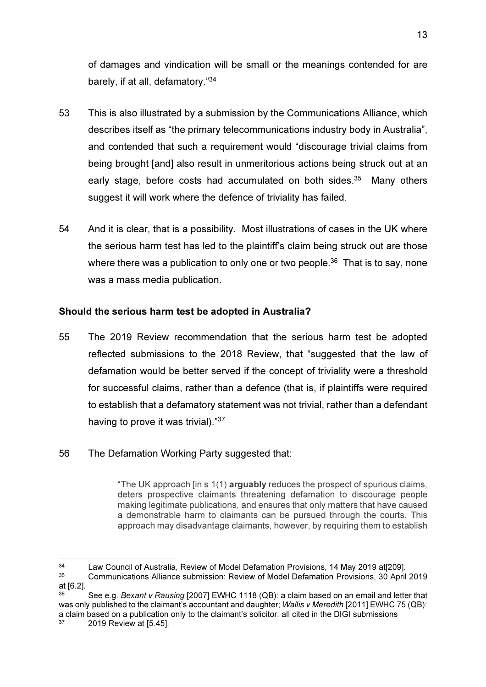of damages and vindication will be small or the meanings contended for are barely, if at all, defamatory."<sup>34</sup>

- 53 This is also illustrated by a submission by the Communications Alliance, which describes itself as "the primary telecommunications industry body in Australia", and contended that such a requirement would "discourage trivial claims from being brought [and] also result in unmeritorious actions being struck out at an early stage, before costs had accumulated on both sides.<sup>35</sup> Many others suggest it will work where the defence of triviality has failed.
- 54 And it is clear, that is a possibility. Most illustrations of cases in the UK where the serious harm test has led to the plaintiff's claim being struck out are those where there was a publication to only one or two people.<sup>36</sup> That is to say, none was a mass media publication.

#### Should the serious harm test be adopted in Australia?

- 55 The 2019 Review recommendation that the serious harm test be adopted reflected submissions to the 2018 Review, that "suggested that the law of defamation would be better served if the concept of triviality were a threshold for successful claims, rather than a defence (that is, if plaintiffs were required to establish that a defamatory statement was not trivial, rather than a defendant having to prove it was trivial)."<sup>37</sup>
- 56 The Defamation Working Party suggested that:

"The UK approach [in s 1(1) arguably reduces the prospect of spurious claims, deters prospective claimants threatening defamation to discourage people making legitimate publications, and ensures that only matters that have caused a demonstrable harm to claimants can be pursued through the courts. This approach may disadvantage claimants, however, by requiring them to establish

<sup>34</sup> Law Council of Australia, Review of Model Defamation Provisions, 14 May 2019 at[209].

<sup>35</sup> Communications Alliance submission: Review of Model Defamation Provisions, 30 April 2019 at [6.2].

See e.g. Bexant v Rausing [2007] EWHC 1118 (QB): a claim based on an email and letter that was only published to the claimant's accountant and daughter; Wallis y Meredith [2011] EWHC 75 (QB); a claim based on a publication only to the claimant's solicitor: all cited in the DIGI submissions  $37 - 2010$  Boviow at I5.451

<sup>37</sup> 2019 Review at [5.45].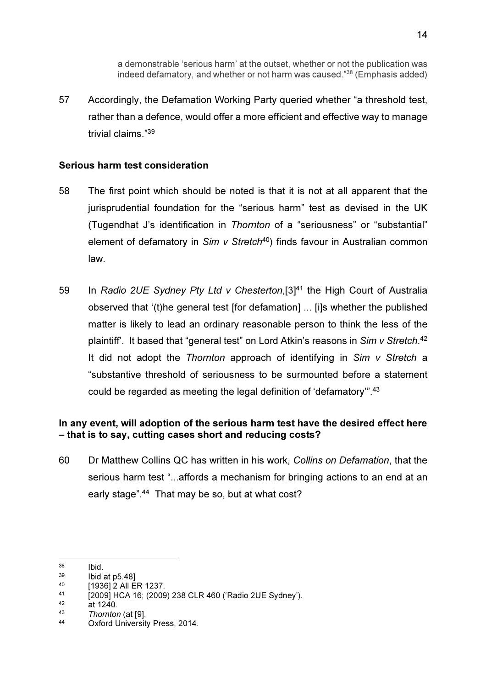a demonstrable 'serious harm' at the outset, whether or not the publication was indeed defamatory, and whether or not harm was caused."<sup>38</sup> (Emphasis added)

57 Accordingly, the Defamation Working Party queried whether "a threshold test, rather than a defence, would offer a more efficient and effective way to manage trivial claims."<sup>39</sup>

#### Serious harm test consideration

- 58 The first point which should be noted is that it is not at all apparent that the jurisprudential foundation for the "serious harm" test as devised in the UK (Tugendhat J's identification in Thornton of a "seriousness" or "substantial" element of defamatory in  $Sim \vee Stretch^{40}$  finds favour in Australian common law.
- 59 In Radio 2UE Sydney Pty Ltd v Chesterton,[3]<sup>41</sup> the High Court of Australia observed that '(t)he general test [for defamation] ... [i]s whether the published matter is likely to lead an ordinary reasonable person to think the less of the plaintiff'. It based that "general test" on Lord Atkin's reasons in Sim v Stretch.<sup>42</sup> It did not adopt the Thornton approach of identifying in  $Sim$  v Stretch a "substantive threshold of seriousness to be surmounted before a statement could be regarded as meeting the legal definition of 'defamatory'".<sup>43</sup>

# In any event, will adoption of the serious harm test have the desired effect here – that is to say, cutting cases short and reducing costs?

60 Dr Matthew Collins QC has written in his work, Collins on Defamation, that the serious harm test "...affords a mechanism for bringing actions to an end at an early stage".<sup>44</sup> That may be so, but at what cost?

 $\frac{38}{39}$  Ibid.

 $39$  Ibid at p5.48]<br>40  $193612 \text{ AU} =$ 

 $^{40}$  [1936] 2 All ER 1237.

<sup>41 [2009]</sup> HCA 16; (2009) 238 CLR 460 ('Radio 2UE Sydney').

 $42$  at 1240.

 $\frac{43}{44}$  Thornton (at [9].

Oxford University Press, 2014.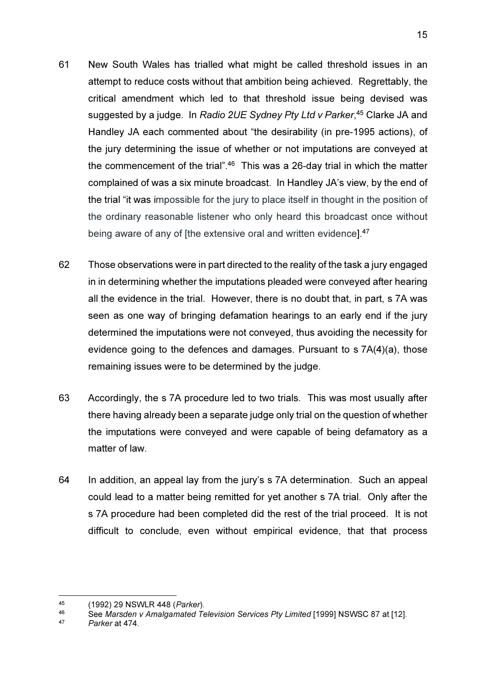- 61 New South Wales has trialled what might be called threshold issues in an attempt to reduce costs without that ambition being achieved. Regrettably, the critical amendment which led to that threshold issue being devised was suggested by a judge. In *Radio 2UE Sydney Pty Ltd v Parker*,<sup>45</sup> Clarke JA and Handley JA each commented about "the desirability (in pre-1995 actions), of the jury determining the issue of whether or not imputations are conveyed at the commencement of the trial".<sup>46</sup> This was a 26-day trial in which the matter complained of was a six minute broadcast. In Handley JA's view, by the end of the trial "it was impossible for the jury to place itself in thought in the position of the ordinary reasonable listener who only heard this broadcast once without being aware of any of [the extensive oral and written evidence].<sup>47</sup>
- 62 Those observations were in part directed to the reality of the task a jury engaged in in determining whether the imputations pleaded were conveyed after hearing all the evidence in the trial. However, there is no doubt that, in part, s 7A was seen as one way of bringing defamation hearings to an early end if the jury determined the imputations were not conveyed, thus avoiding the necessity for evidence going to the defences and damages. Pursuant to s 7A(4)(a), those remaining issues were to be determined by the judge.
- 63 Accordingly, the s 7A procedure led to two trials. This was most usually after there having already been a separate judge only trial on the question of whether the imputations were conveyed and were capable of being defamatory as a matter of law.
- 64 In addition, an appeal lay from the jury's s 7A determination. Such an appeal could lead to a matter being remitted for yet another s 7A trial. Only after the s 7A procedure had been completed did the rest of the trial proceed. It is not difficult to conclude, even without empirical evidence, that that process

<sup>&</sup>lt;sup>45</sup> (1992) 29 NSWLR 448 (*Parker*).<br><sup>46</sup> See Marsden v Amalgamated Te

See Marsden v Amalgamated Television Services Pty Limited [1999] NSWSC 87 at [12].

<sup>47</sup> Parker at 474.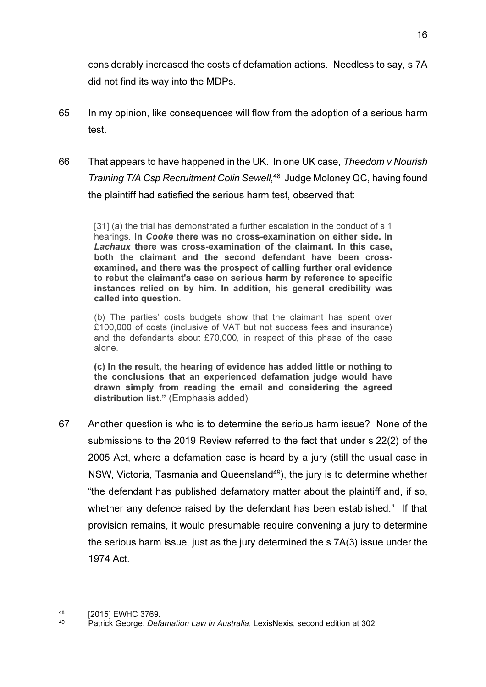considerably increased the costs of defamation actions. Needless to say, s 7A did not find its way into the MDPs.

- 65 In my opinion, like consequences will flow from the adoption of a serious harm test.
- 66 That appears to have happened in the UK. In one UK case, Theedom v Nourish Training T/A Csp Recruitment Colin Sewell, <sup>48</sup> Judge Moloney QC, having found the plaintiff had satisfied the serious harm test, observed that:

[31] (a) the trial has demonstrated a further escalation in the conduct of s 1 hearings. In Cooke there was no cross-examination on either side. In Lachaux there was cross-examination of the claimant. In this case, both the claimant and the second defendant have been crossexamined, and there was the prospect of calling further oral evidence to rebut the claimant's case on serious harm by reference to specific instances relied on by him. In addition, his general credibility was called into question.

(b) The parties' costs budgets show that the claimant has spent over £100,000 of costs (inclusive of VAT but not success fees and insurance) and the defendants about £70,000, in respect of this phase of the case alone.

(c) In the result, the hearing of evidence has added little or nothing to the conclusions that an experienced defamation judge would have drawn simply from reading the email and considering the agreed distribution list." (Emphasis added)

67 Another question is who is to determine the serious harm issue? None of the submissions to the 2019 Review referred to the fact that under s 22(2) of the 2005 Act, where a defamation case is heard by a jury (still the usual case in NSW, Victoria, Tasmania and Queensland<sup>49</sup>), the jury is to determine whether "the defendant has published defamatory matter about the plaintiff and, if so, whether any defence raised by the defendant has been established." If that provision remains, it would presumable require convening a jury to determine the serious harm issue, just as the jury determined the s 7A(3) issue under the 1974 Act.

<sup>48 [2015]</sup> EWHC 3769.

Patrick George, Defamation Law in Australia, LexisNexis, second edition at 302.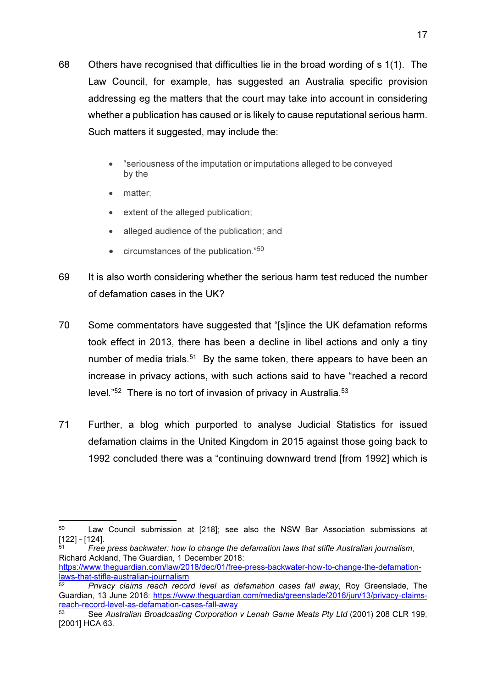- 68 Others have recognised that difficulties lie in the broad wording of s 1(1). The Law Council, for example, has suggested an Australia specific provision addressing eg the matters that the court may take into account in considering whether a publication has caused or is likely to cause reputational serious harm. Such matters it suggested, may include the:
	- "seriousness of the imputation or imputations alleged to be conveyed by the
	- matter:
	- extent of the alleged publication;
	- alleged audience of the publication: and
	- $\bullet$  circumstances of the publication." $50$
- 69 It is also worth considering whether the serious harm test reduced the number of defamation cases in the UK?
- 70 Some commentators have suggested that "[s]ince the UK defamation reforms took effect in 2013, there has been a decline in libel actions and only a tiny number of media trials.<sup>51</sup> By the same token, there appears to have been an increase in privacy actions, with such actions said to have "reached a record level."<sup>52</sup> There is no tort of invasion of privacy in Australia.<sup>53</sup>
- 71 Further, a blog which purported to analyse Judicial Statistics for issued defamation claims in the United Kingdom in 2015 against those going back to 1992 concluded there was a "continuing downward trend [from 1992] which is

<sup>50</sup> Law Council submission at [218]; see also the NSW Bar Association submissions at [122] - [124].

<sup>51</sup> Free press backwater: how to change the defamation laws that stifle Australian journalism, Richard Ackland, The Guardian, 1 December 2018:

https://www.theguardian.com/law/2018/dec/01/free-press-backwater-how-to-change-the-defamationlaws-that-stifle-australian-journalism

 $52$  Privacy claims reach record level as defamation cases fall away, Roy Greenslade, The Guardian, 13 June 2016: https://www.theguardian.com/media/greenslade/2016/jun/13/privacy-claimsreach-record-level-as-defamation-cases-fall-away

<sup>53</sup> See Australian Broadcasting Corporation v Lenah Game Meats Pty Ltd (2001) 208 CLR 199; [2001] HCA 63.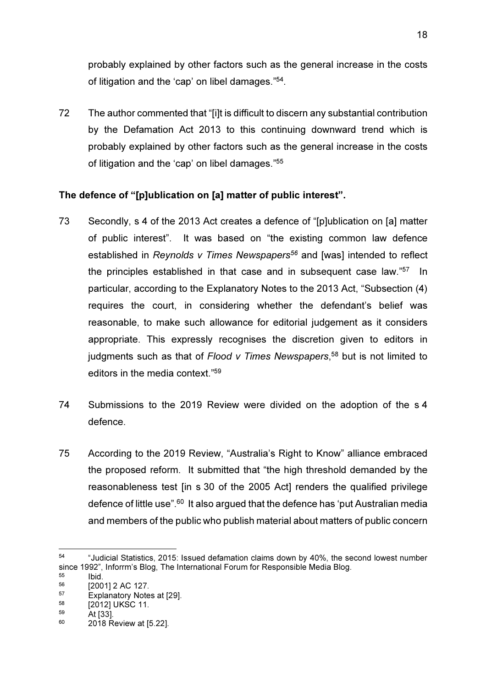probably explained by other factors such as the general increase in the costs of litigation and the 'cap' on libel damages."<sup>54</sup>.

72 The author commented that "[i]t is difficult to discern any substantial contribution by the Defamation Act 2013 to this continuing downward trend which is probably explained by other factors such as the general increase in the costs of litigation and the 'cap' on libel damages."<sup>55</sup>

# The defence of "[p]ublication on [a] matter of public interest".

- 73 Secondly, s 4 of the 2013 Act creates a defence of "[p]ublication on [a] matter of public interest". It was based on "the existing common law defence established in Reynolds y Times Newspapers<sup>56</sup> and [was] intended to reflect the principles established in that case and in subsequent case law."<sup>57</sup> In particular, according to the Explanatory Notes to the 2013 Act, "Subsection (4) requires the court, in considering whether the defendant's belief was reasonable, to make such allowance for editorial judgement as it considers appropriate. This expressly recognises the discretion given to editors in judgments such as that of Flood v Times Newspapers,<sup>58</sup> but is not limited to editors in the media context."<sup>59</sup>
- 74 Submissions to the 2019 Review were divided on the adoption of the s 4 defence.
- 75 According to the 2019 Review, "Australia's Right to Know" alliance embraced the proposed reform. It submitted that "the high threshold demanded by the reasonableness test [in s 30 of the 2005 Act] renders the qualified privilege defence of little use".<sup>60</sup> It also argued that the defence has 'put Australian media and members of the public who publish material about matters of public concern

<sup>54</sup> "Judicial Statistics, 2015: Issued defamation claims down by 40%, the second lowest number since 1992", Inforrm's Blog, The International Forum for Responsible Media Blog.<br>55

 $\begin{array}{ccc} 55 & & \text{Ibid.} \\ 56 & & \text{I200} \end{array}$ 

 $^{56}$  [2001] 2 AC 127.

 $^{57}$  Explanatory Notes at [29].<br> $^{58}$   $^{12012111}$ 

 $^{58}$  [2012] UKSC 11.

 $59$  At [33]. <sup>60</sup> 2018 Review at [5.22].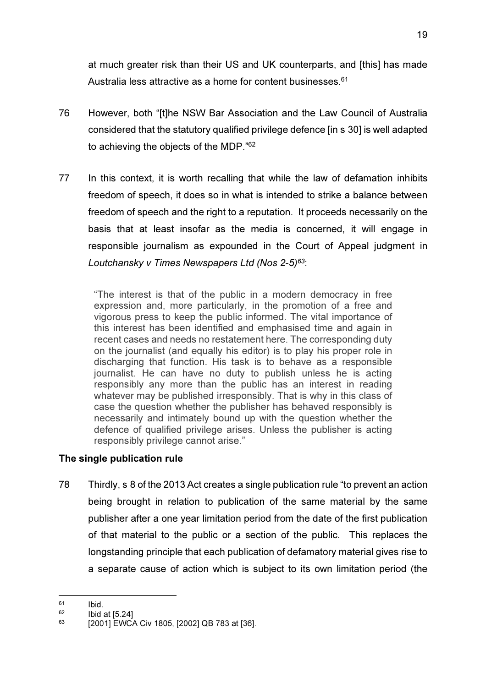at much greater risk than their US and UK counterparts, and [this] has made Australia less attractive as a home for content businesses.<sup>61</sup>

- 76 However, both "[t]he NSW Bar Association and the Law Council of Australia considered that the statutory qualified privilege defence [in s 30] is well adapted to achieving the objects of the MDP."<sup>62</sup>
- 77 In this context, it is worth recalling that while the law of defamation inhibits freedom of speech, it does so in what is intended to strike a balance between freedom of speech and the right to a reputation. It proceeds necessarily on the basis that at least insofar as the media is concerned, it will engage in responsible journalism as expounded in the Court of Appeal judgment in Loutchansky v Times Newspapers Ltd (Nos 2-5)<sup>63</sup>:

"The interest is that of the public in a modern democracy in free expression and, more particularly, in the promotion of a free and vigorous press to keep the public informed. The vital importance of this interest has been identified and emphasised time and again in recent cases and needs no restatement here. The corresponding duty on the journalist (and equally his editor) is to play his proper role in discharging that function. His task is to behave as a responsible journalist. He can have no duty to publish unless he is acting responsibly any more than the public has an interest in reading whatever may be published irresponsibly. That is why in this class of case the question whether the publisher has behaved responsibly is necessarily and intimately bound up with the question whether the defence of qualified privilege arises. Unless the publisher is acting responsibly privilege cannot arise."

# The single publication rule

78 Thirdly, s 8 of the 2013 Act creates a single publication rule "to prevent an action being brought in relation to publication of the same material by the same publisher after a one year limitation period from the date of the first publication of that material to the public or a section of the public. This replaces the longstanding principle that each publication of defamatory material gives rise to a separate cause of action which is subject to its own limitation period (the

 $61$  Ibid.<br> $62$  Ibid.

 $^{62}$  Ibid at [5.24]<br>  $^{63}$   $^{120041}$   $^{1400}$ 

<sup>[2001]</sup> EWCA Civ 1805, [2002] QB 783 at [36].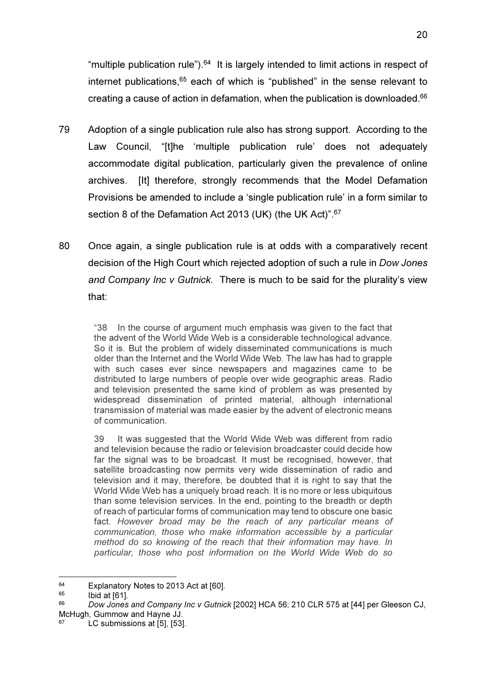"multiple publication rule"). $64$  It is largely intended to limit actions in respect of internet publications, $65$  each of which is "published" in the sense relevant to creating a cause of action in defamation, when the publication is downloaded.<sup>66</sup>

- 79 Adoption of a single publication rule also has strong support. According to the Law Council, "[t]he 'multiple publication rule' does not adequately accommodate digital publication, particularly given the prevalence of online archives. [It] therefore, strongly recommends that the Model Defamation Provisions be amended to include a 'single publication rule' in a form similar to section 8 of the Defamation Act 2013 (UK) (the UK Act)".<sup>67</sup>
- 80 Once again, a single publication rule is at odds with a comparatively recent decision of the High Court which rejected adoption of such a rule in Dow Jones and Company Inc v Gutnick. There is much to be said for the plurality's view that:

"38 In the course of argument much emphasis was given to the fact that the advent of the World Wide Web is a considerable technological advance. So it is. But the problem of widely disseminated communications is much older than the Internet and the World Wide Web. The law has had to grapple with such cases ever since newspapers and magazines came to be distributed to large numbers of people over wide geographic areas. Radio and television presented the same kind of problem as was presented by widespread dissemination of printed material, although international transmission of material was made easier by the advent of electronic means of communication.

39 It was suggested that the World Wide Web was different from radio and television because the radio or television broadcaster could decide how far the signal was to be broadcast. It must be recognised, however, that satellite broadcasting now permits very wide dissemination of radio and television and it may, therefore, be doubted that it is right to say that the World Wide Web has a uniquely broad reach. It is no more or less ubiquitous than some television services. In the end, pointing to the breadth or depth of reach of particular forms of communication may tend to obscure one basic fact. However broad may be the reach of any particular means of communication, those who make information accessible by a particular method do so knowing of the reach that their information may have. In particular, those who post information on the World Wide Web do so

 $^{64}$  Explanatory Notes to 2013 Act at [60].

Ibid at [61].

<sup>66</sup> Dow Jones and Company Inc v Gutnick [2002] HCA 56; 210 CLR 575 at [44] per Gleeson CJ, McHugh, Gummow and Hayne JJ.

<sup>67</sup> LC submissions at [5], [53].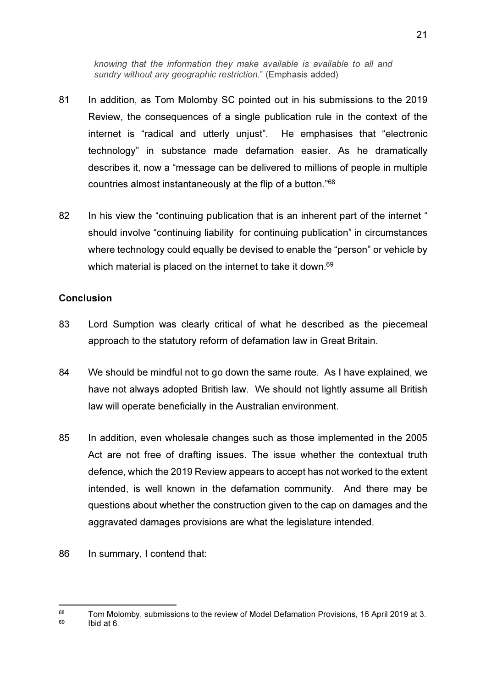knowing that the information they make available is available to all and sundry without any geographic restriction." (Emphasis added)

- 81 In addition, as Tom Molomby SC pointed out in his submissions to the 2019 Review, the consequences of a single publication rule in the context of the internet is "radical and utterly unjust". He emphasises that "electronic technology" in substance made defamation easier. As he dramatically describes it, now a "message can be delivered to millions of people in multiple countries almost instantaneously at the flip of a button."<sup>68</sup>
- 82 In his view the "continuing publication that is an inherent part of the internet " should involve "continuing liability for continuing publication" in circumstances where technology could equally be devised to enable the "person" or vehicle by which material is placed on the internet to take it down.<sup>69</sup>

#### **Conclusion**

- 83 Lord Sumption was clearly critical of what he described as the piecemeal approach to the statutory reform of defamation law in Great Britain.
- 84 We should be mindful not to go down the same route. As I have explained, we have not always adopted British law. We should not lightly assume all British law will operate beneficially in the Australian environment.
- 85 In addition, even wholesale changes such as those implemented in the 2005 Act are not free of drafting issues. The issue whether the contextual truth defence, which the 2019 Review appears to accept has not worked to the extent intended, is well known in the defamation community. And there may be questions about whether the construction given to the cap on damages and the aggravated damages provisions are what the legislature intended.
- 86 In summary, I contend that:

 $^{68}$  Tom Molomby, submissions to the review of Model Defamation Provisions, 16 April 2019 at 3. Ibid at 6.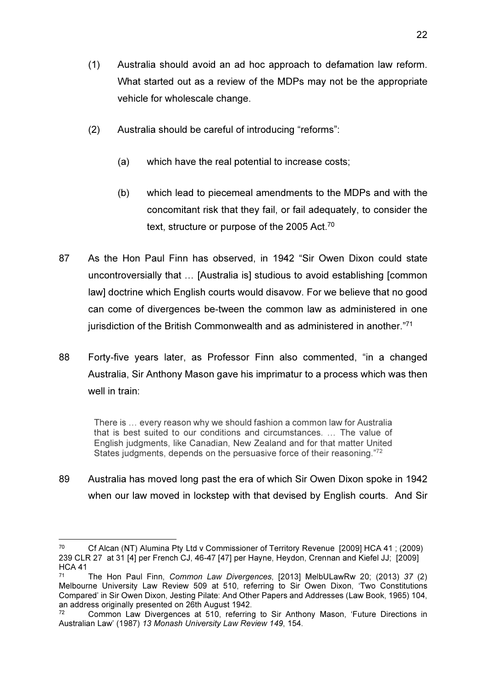- (1) Australia should avoid an ad hoc approach to defamation law reform. What started out as a review of the MDPs may not be the appropriate vehicle for wholescale change.
- (2) Australia should be careful of introducing "reforms":
	- (a) which have the real potential to increase costs;
	- (b) which lead to piecemeal amendments to the MDPs and with the concomitant risk that they fail, or fail adequately, to consider the text, structure or purpose of the 2005 Act.<sup>70</sup>
- 87 As the Hon Paul Finn has observed, in 1942 "Sir Owen Dixon could state uncontroversially that … [Australia is] studious to avoid establishing [common law] doctrine which English courts would disavow. For we believe that no good can come of divergences be-tween the common law as administered in one jurisdiction of the British Commonwealth and as administered in another."71
- 88 Forty-five years later, as Professor Finn also commented, "in a changed Australia, Sir Anthony Mason gave his imprimatur to a process which was then well in train:

There is … every reason why we should fashion a common law for Australia that is best suited to our conditions and circumstances. … The value of English judgments, like Canadian, New Zealand and for that matter United States judgments, depends on the persuasive force of their reasoning."<sup>72</sup>

89 Australia has moved long past the era of which Sir Owen Dixon spoke in 1942 when our law moved in lockstep with that devised by English courts. And Sir

<sup>70</sup> Cf Alcan (NT) Alumina Pty Ltd v Commissioner of Territory Revenue [2009] HCA 41 ; (2009) 239 CLR 27 at 31 [4] per French CJ, 46-47 [47] per Hayne, Heydon, Crennan and Kiefel JJ; [2009] HCA 41

<sup>71</sup> The Hon Paul Finn, Common Law Divergences, [2013] MelbULawRw 20; (2013) 37 (2) Melbourne University Law Review 509 at 510, referring to Sir Owen Dixon, 'Two Constitutions Compared' in Sir Owen Dixon, Jesting Pilate: And Other Papers and Addresses (Law Book, 1965) 104, an address originally presented on 26th August 1942.<br><sup>72</sup> Common Law Divergences at 510 referring

<sup>72</sup> Common Law Divergences at 510, referring to Sir Anthony Mason, 'Future Directions in Australian Law' (1987) 13 Monash University Law Review 149, 154.